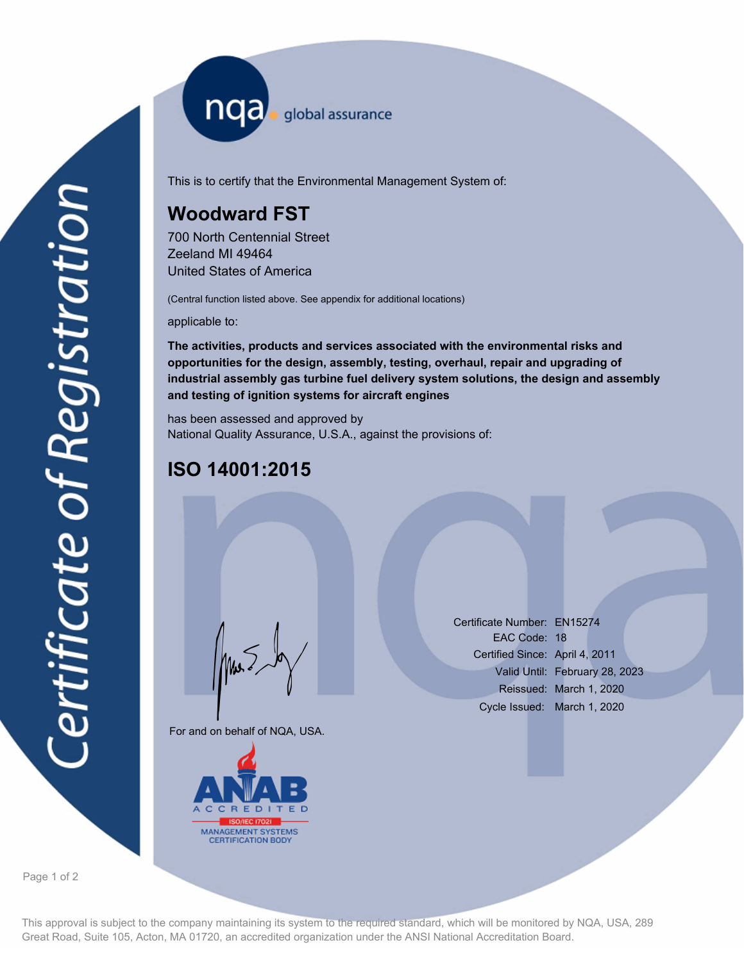nqa <sub>global assurance</sub>

This is to certify that the Environmental Management System of:

## **Woodward FST**

700 North Centennial Street Zeeland MI 49464 United States of America

(Central function listed above. See appendix for additional locations)

applicable to:

**The activities, products and services associated with the environmental risks and opportunities for the design, assembly, testing, overhaul, repair and upgrading of industrial assembly gas turbine fuel delivery system solutions, the design and assembly and testing of ignition systems for aircraft engines**

has been assessed and approved by National Quality Assurance, U.S.A., against the provisions of:

## **ISO 14001:2015**

For and on behalf of NQA, USA.

Mus



Certificate Number: EN15274 EAC Code: 18 Certified Since: April 4, 2011 Valid Until: February 28, 2023 Reissued: March 1, 2020 Cycle Issued: March 1, 2020

Page 1 of 2

This approval is subject to the company maintaining its system to the required standard, which will be monitored by NQA, USA, 289 Great Road, Suite 105, Acton, MA 01720, an accredited organization under the ANSI National Accreditation Board.